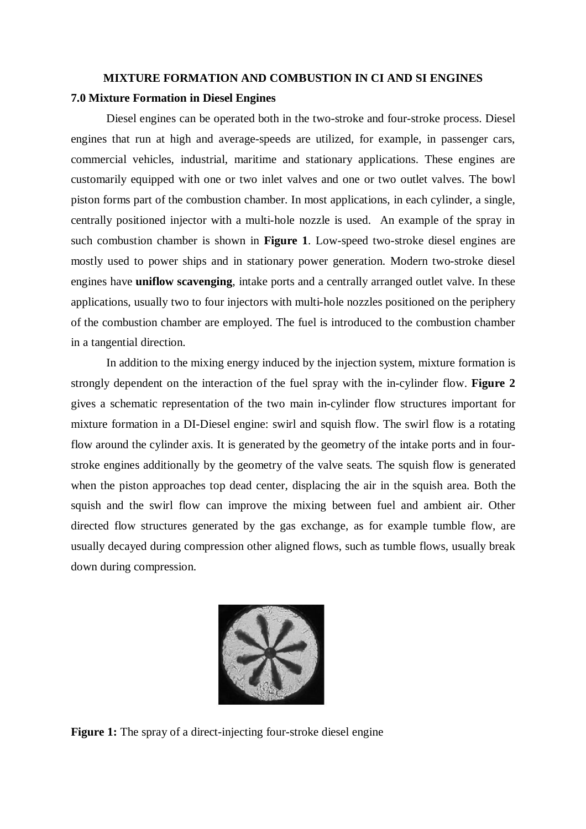#### **MIXTURE FORMATION AND COMBUSTION IN CI AND SI ENGINES**

#### **7.0 Mixture Formation in Diesel Engines**

Diesel engines can be operated both in the two-stroke and four-stroke process. Diesel engines that run at high and average-speeds are utilized, for example, in passenger cars, commercial vehicles, industrial, maritime and stationary applications. These engines are customarily equipped with one or two inlet valves and one or two outlet valves. The bowl piston forms part of the combustion chamber. In most applications, in each cylinder, a single, centrally positioned injector with a multi-hole nozzle is used. An example of the spray in such combustion chamber is shown in **Figure 1**. Low-speed two-stroke diesel engines are mostly used to power ships and in stationary power generation. Modern two-stroke diesel engines have **uniflow scavenging**, intake ports and a centrally arranged outlet valve. In these applications, usually two to four injectors with multi-hole nozzles positioned on the periphery of the combustion chamber are employed. The fuel is introduced to the combustion chamber in a tangential direction.

In addition to the mixing energy induced by the injection system, mixture formation is strongly dependent on the interaction of the fuel spray with the in-cylinder flow. **Figure 2** gives a schematic representation of the two main in-cylinder flow structures important for mixture formation in a DI-Diesel engine: swirl and squish flow. The swirl flow is a rotating flow around the cylinder axis. It is generated by the geometry of the intake ports and in fourstroke engines additionally by the geometry of the valve seats. The squish flow is generated when the piston approaches top dead center, displacing the air in the squish area. Both the squish and the swirl flow can improve the mixing between fuel and ambient air. Other directed flow structures generated by the gas exchange, as for example tumble flow, are usually decayed during compression other aligned flows, such as tumble flows, usually break down during compression.



**Figure 1:** The spray of a direct-injecting four-stroke diesel engine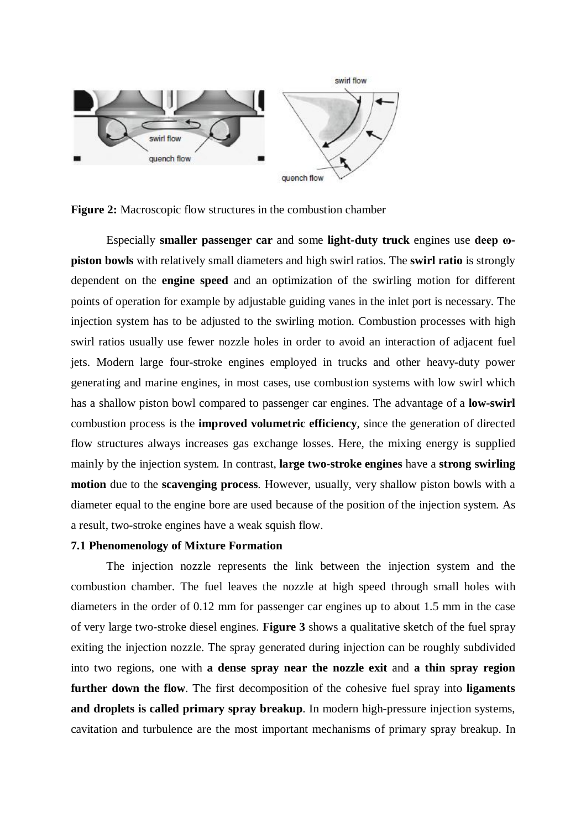

**Figure 2:** Macroscopic flow structures in the combustion chamber

Especially **smaller passenger car** and some **light-duty truck** engines use **deep ωpiston bowls** with relatively small diameters and high swirl ratios. The **swirl ratio** is strongly dependent on the **engine speed** and an optimization of the swirling motion for different points of operation for example by adjustable guiding vanes in the inlet port is necessary. The injection system has to be adjusted to the swirling motion. Combustion processes with high swirl ratios usually use fewer nozzle holes in order to avoid an interaction of adjacent fuel jets. Modern large four-stroke engines employed in trucks and other heavy-duty power generating and marine engines, in most cases, use combustion systems with low swirl which has a shallow piston bowl compared to passenger car engines. The advantage of a **low-swirl** combustion process is the **improved volumetric efficiency**, since the generation of directed flow structures always increases gas exchange losses. Here, the mixing energy is supplied mainly by the injection system. In contrast, **large two-stroke engines** have a **strong swirling motion** due to the **scavenging process**. However, usually, very shallow piston bowls with a diameter equal to the engine bore are used because of the position of the injection system. As a result, two-stroke engines have a weak squish flow.

# **7.1 Phenomenology of Mixture Formation**

The injection nozzle represents the link between the injection system and the combustion chamber. The fuel leaves the nozzle at high speed through small holes with diameters in the order of 0.12 mm for passenger car engines up to about 1.5 mm in the case of very large two-stroke diesel engines. **Figure 3** shows a qualitative sketch of the fuel spray exiting the injection nozzle. The spray generated during injection can be roughly subdivided into two regions, one with **a dense spray near the nozzle exit** and **a thin spray region further down the flow**. The first decomposition of the cohesive fuel spray into **ligaments and droplets is called primary spray breakup**. In modern high-pressure injection systems, cavitation and turbulence are the most important mechanisms of primary spray breakup. In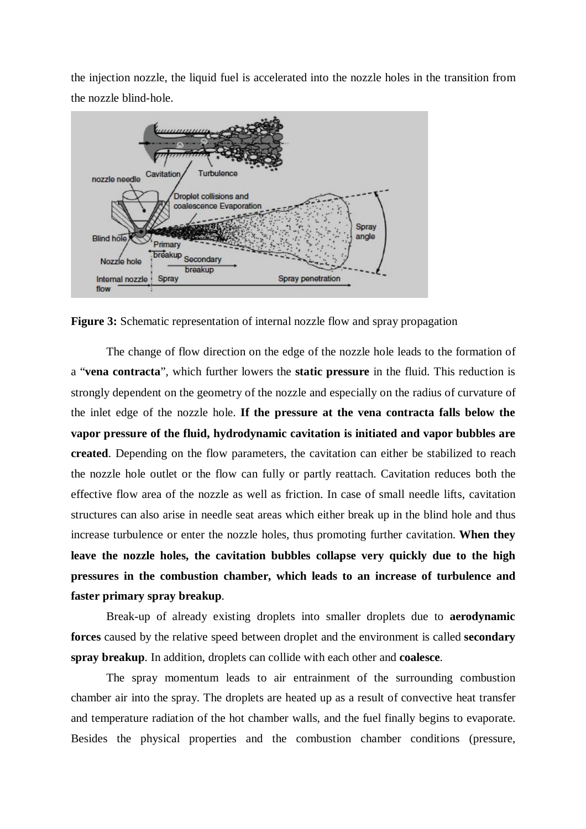the injection nozzle, the liquid fuel is accelerated into the nozzle holes in the transition from the nozzle blind-hole.



**Figure 3:** Schematic representation of internal nozzle flow and spray propagation

The change of flow direction on the edge of the nozzle hole leads to the formation of a "**vena contracta**", which further lowers the **static pressure** in the fluid. This reduction is strongly dependent on the geometry of the nozzle and especially on the radius of curvature of the inlet edge of the nozzle hole. **If the pressure at the vena contracta falls below the vapor pressure of the fluid, hydrodynamic cavitation is initiated and vapor bubbles are created**. Depending on the flow parameters, the cavitation can either be stabilized to reach the nozzle hole outlet or the flow can fully or partly reattach. Cavitation reduces both the effective flow area of the nozzle as well as friction. In case of small needle lifts, cavitation structures can also arise in needle seat areas which either break up in the blind hole and thus increase turbulence or enter the nozzle holes, thus promoting further cavitation. **When they leave the nozzle holes, the cavitation bubbles collapse very quickly due to the high pressures in the combustion chamber, which leads to an increase of turbulence and faster primary spray breakup**.

Break-up of already existing droplets into smaller droplets due to **aerodynamic forces** caused by the relative speed between droplet and the environment is called **secondary spray breakup**. In addition, droplets can collide with each other and **coalesce**.

The spray momentum leads to air entrainment of the surrounding combustion chamber air into the spray. The droplets are heated up as a result of convective heat transfer and temperature radiation of the hot chamber walls, and the fuel finally begins to evaporate. Besides the physical properties and the combustion chamber conditions (pressure,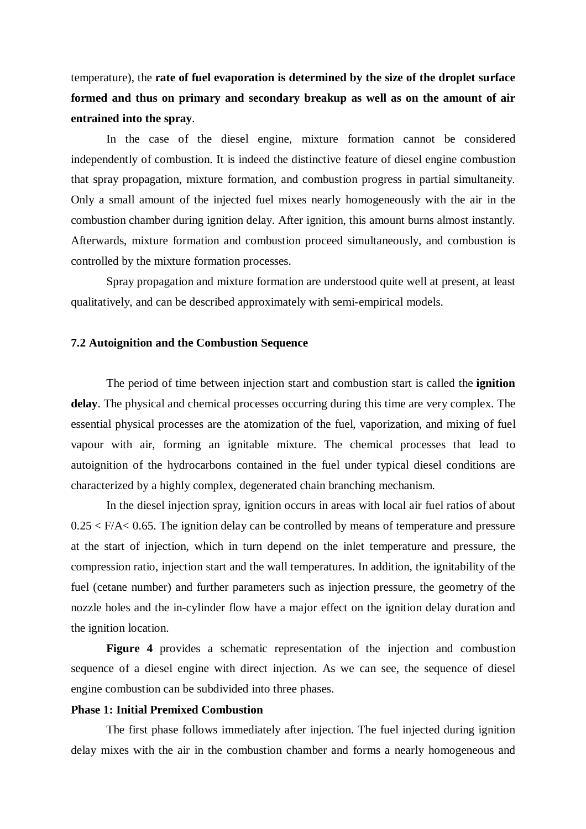temperature), the **rate of fuel evaporation is determined by the size of the droplet surface formed and thus on primary and secondary breakup as well as on the amount of air entrained into the spray**.

In the case of the diesel engine, mixture formation cannot be considered independently of combustion. It is indeed the distinctive feature of diesel engine combustion that spray propagation, mixture formation, and combustion progress in partial simultaneity. Only a small amount of the injected fuel mixes nearly homogeneously with the air in the combustion chamber during ignition delay. After ignition, this amount burns almost instantly. Afterwards, mixture formation and combustion proceed simultaneously, and combustion is controlled by the mixture formation processes.

Spray propagation and mixture formation are understood quite well at present, at least qualitatively, and can be described approximately with semi-empirical models.

### **7.2 Autoignition and the Combustion Sequence**

The period of time between injection start and combustion start is called the **ignition delay**. The physical and chemical processes occurring during this time are very complex. The essential physical processes are the atomization of the fuel, vaporization, and mixing of fuel vapour with air, forming an ignitable mixture. The chemical processes that lead to autoignition of the hydrocarbons contained in the fuel under typical diesel conditions are characterized by a highly complex, degenerated chain branching mechanism.

In the diesel injection spray, ignition occurs in areas with local air fuel ratios of about  $0.25 < F/A < 0.65$ . The ignition delay can be controlled by means of temperature and pressure at the start of injection, which in turn depend on the inlet temperature and pressure, the compression ratio, injection start and the wall temperatures. In addition, the ignitability of the fuel (cetane number) and further parameters such as injection pressure, the geometry of the nozzle holes and the in-cylinder flow have a major effect on the ignition delay duration and the ignition location.

**Figure 4** provides a schematic representation of the injection and combustion sequence of a diesel engine with direct injection. As we can see, the sequence of diesel engine combustion can be subdivided into three phases.

# **Phase 1: Initial Premixed Combustion**

The first phase follows immediately after injection. The fuel injected during ignition delay mixes with the air in the combustion chamber and forms a nearly homogeneous and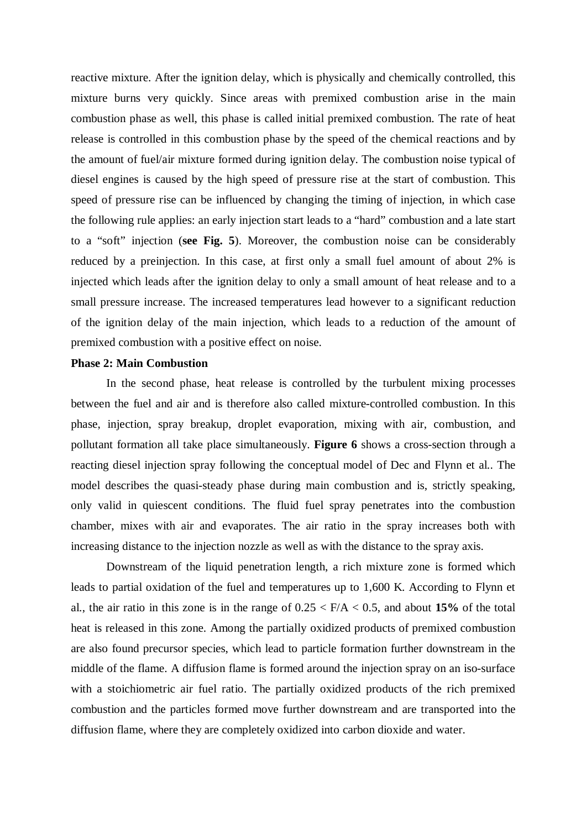reactive mixture. After the ignition delay, which is physically and chemically controlled, this mixture burns very quickly. Since areas with premixed combustion arise in the main combustion phase as well, this phase is called initial premixed combustion. The rate of heat release is controlled in this combustion phase by the speed of the chemical reactions and by the amount of fuel/air mixture formed during ignition delay. The combustion noise typical of diesel engines is caused by the high speed of pressure rise at the start of combustion. This speed of pressure rise can be influenced by changing the timing of injection, in which case the following rule applies: an early injection start leads to a "hard" combustion and a late start to a "soft" injection (**see Fig. 5**). Moreover, the combustion noise can be considerably reduced by a preinjection. In this case, at first only a small fuel amount of about 2% is injected which leads after the ignition delay to only a small amount of heat release and to a small pressure increase. The increased temperatures lead however to a significant reduction of the ignition delay of the main injection, which leads to a reduction of the amount of premixed combustion with a positive effect on noise.

# **Phase 2: Main Combustion**

In the second phase, heat release is controlled by the turbulent mixing processes between the fuel and air and is therefore also called mixture-controlled combustion. In this phase, injection, spray breakup, droplet evaporation, mixing with air, combustion, and pollutant formation all take place simultaneously. **Figure 6** shows a cross-section through a reacting diesel injection spray following the conceptual model of Dec and Flynn et al.. The model describes the quasi-steady phase during main combustion and is, strictly speaking, only valid in quiescent conditions. The fluid fuel spray penetrates into the combustion chamber, mixes with air and evaporates. The air ratio in the spray increases both with increasing distance to the injection nozzle as well as with the distance to the spray axis.

Downstream of the liquid penetration length, a rich mixture zone is formed which leads to partial oxidation of the fuel and temperatures up to 1,600 K. According to Flynn et al., the air ratio in this zone is in the range of 0.25 < F/A < 0.5, and about **15%** of the total heat is released in this zone. Among the partially oxidized products of premixed combustion are also found precursor species, which lead to particle formation further downstream in the middle of the flame. A diffusion flame is formed around the injection spray on an iso-surface with a stoichiometric air fuel ratio. The partially oxidized products of the rich premixed combustion and the particles formed move further downstream and are transported into the diffusion flame, where they are completely oxidized into carbon dioxide and water.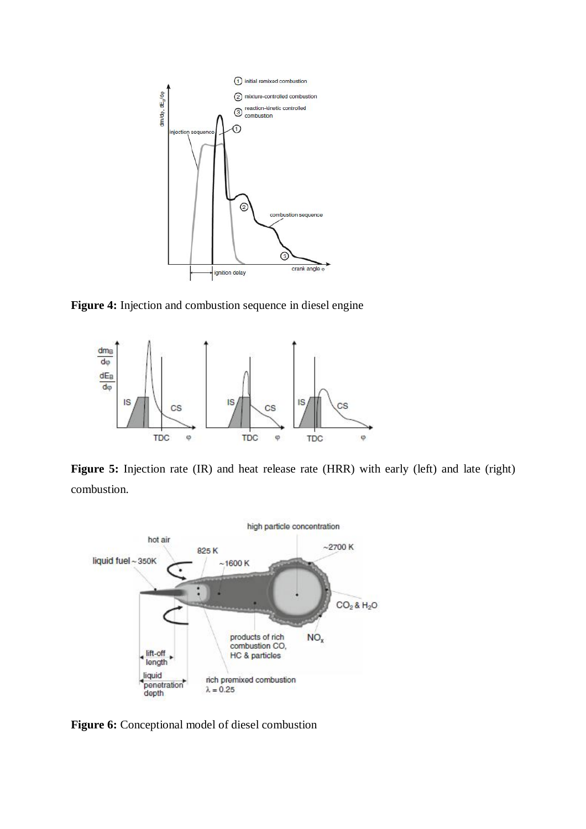

**Figure 4:** Injection and combustion sequence in diesel engine



**Figure 5:** Injection rate (IR) and heat release rate (HRR) with early (left) and late (right) combustion.



**Figure 6:** Conceptional model of diesel combustion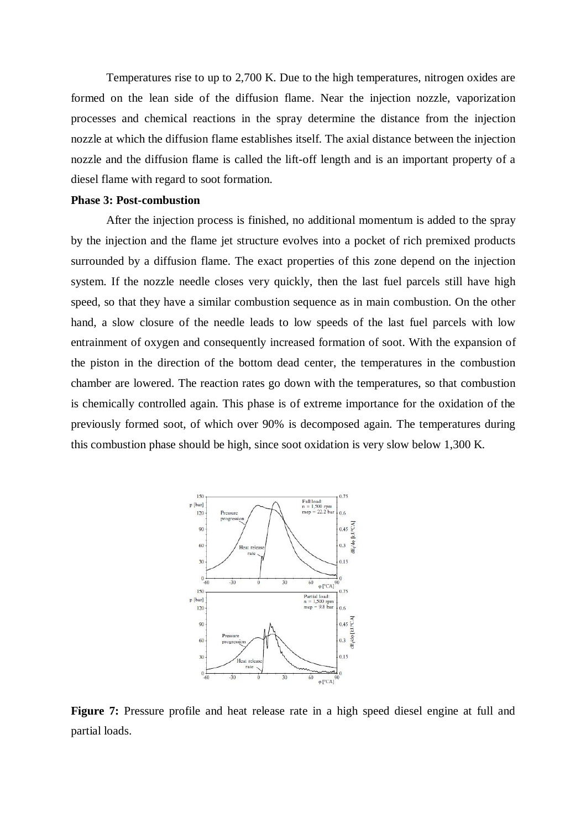Temperatures rise to up to 2,700 K. Due to the high temperatures, nitrogen oxides are formed on the lean side of the diffusion flame. Near the injection nozzle, vaporization processes and chemical reactions in the spray determine the distance from the injection nozzle at which the diffusion flame establishes itself. The axial distance between the injection nozzle and the diffusion flame is called the lift-off length and is an important property of a diesel flame with regard to soot formation.

# **Phase 3: Post-combustion**

After the injection process is finished, no additional momentum is added to the spray by the injection and the flame jet structure evolves into a pocket of rich premixed products surrounded by a diffusion flame. The exact properties of this zone depend on the injection system. If the nozzle needle closes very quickly, then the last fuel parcels still have high speed, so that they have a similar combustion sequence as in main combustion. On the other hand, a slow closure of the needle leads to low speeds of the last fuel parcels with low entrainment of oxygen and consequently increased formation of soot. With the expansion of the piston in the direction of the bottom dead center, the temperatures in the combustion chamber are lowered. The reaction rates go down with the temperatures, so that combustion is chemically controlled again. This phase is of extreme importance for the oxidation of the previously formed soot, of which over 90% is decomposed again. The temperatures during this combustion phase should be high, since soot oxidation is very slow below 1,300 K.



**Figure 7:** Pressure profile and heat release rate in a high speed diesel engine at full and partial loads.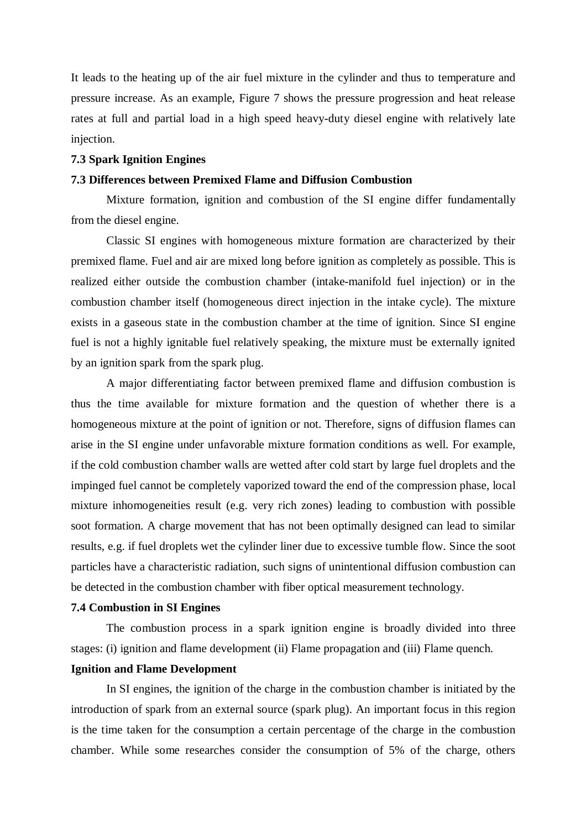It leads to the heating up of the air fuel mixture in the cylinder and thus to temperature and pressure increase. As an example, Figure 7 shows the pressure progression and heat release rates at full and partial load in a high speed heavy-duty diesel engine with relatively late injection.

# **7.3 Spark Ignition Engines**

#### **7.3 Differences between Premixed Flame and Diffusion Combustion**

Mixture formation, ignition and combustion of the SI engine differ fundamentally from the diesel engine.

Classic SI engines with homogeneous mixture formation are characterized by their premixed flame. Fuel and air are mixed long before ignition as completely as possible. This is realized either outside the combustion chamber (intake-manifold fuel injection) or in the combustion chamber itself (homogeneous direct injection in the intake cycle). The mixture exists in a gaseous state in the combustion chamber at the time of ignition. Since SI engine fuel is not a highly ignitable fuel relatively speaking, the mixture must be externally ignited by an ignition spark from the spark plug.

A major differentiating factor between premixed flame and diffusion combustion is thus the time available for mixture formation and the question of whether there is a homogeneous mixture at the point of ignition or not. Therefore, signs of diffusion flames can arise in the SI engine under unfavorable mixture formation conditions as well. For example, if the cold combustion chamber walls are wetted after cold start by large fuel droplets and the impinged fuel cannot be completely vaporized toward the end of the compression phase, local mixture inhomogeneities result (e.g. very rich zones) leading to combustion with possible soot formation. A charge movement that has not been optimally designed can lead to similar results, e.g. if fuel droplets wet the cylinder liner due to excessive tumble flow. Since the soot particles have a characteristic radiation, such signs of unintentional diffusion combustion can be detected in the combustion chamber with fiber optical measurement technology.

#### **7.4 Combustion in SI Engines**

The combustion process in a spark ignition engine is broadly divided into three stages: (i) ignition and flame development (ii) Flame propagation and (iii) Flame quench.

### **Ignition and Flame Development**

In SI engines, the ignition of the charge in the combustion chamber is initiated by the introduction of spark from an external source (spark plug). An important focus in this region is the time taken for the consumption a certain percentage of the charge in the combustion chamber. While some researches consider the consumption of 5% of the charge, others